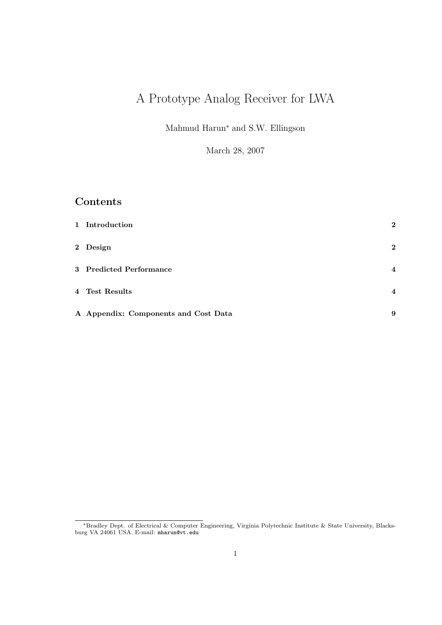# A Prototype Analog Receiver for LWA

Mahmud Harun<sup>∗</sup> and S.W. Ellingson

March 28, 2007

# Contents

| 1 Introduction                       | $\bf{2}$                |
|--------------------------------------|-------------------------|
| 2 Design                             | $\mathbf{2}$            |
| 3 Predicted Performance              | $\overline{\mathbf{4}}$ |
| 4 Test Results                       | $\overline{4}$          |
| A Appendix: Components and Cost Data | 9                       |

<sup>∗</sup>Bradley Dept. of Electrical & Computer Engineering, Virginia Polytechnic Institute & State University, Blacksburg VA 24061 USA. E-mail: mharun@vt.edu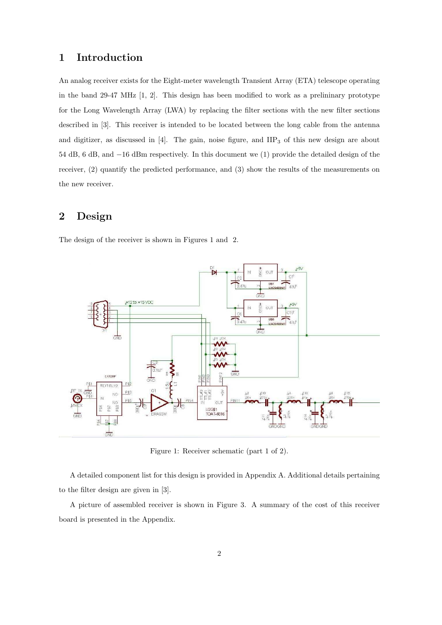## 1 Introduction

An analog receiver exists for the Eight-meter wavelength Transient Array (ETA) telescope operating in the band 29-47 MHz [1, 2]. This design has been modified to work as a prelininary prototype for the Long Wavelength Array (LWA) by replacing the filter sections with the new filter sections described in [3]. This receiver is intended to be located between the long cable from the antenna and digitizer, as discussed in  $[4]$ . The gain, noise figure, and  $\text{HP}_3$  of this new design are about 54 dB, 6 dB, and −16 dBm respectively. In this document we (1) provide the detailed design of the receiver, (2) quantify the predicted performance, and (3) show the results of the measurements on the new receiver.

## 2 Design

The design of the receiver is shown in Figures 1 and 2.



Figure 1: Receiver schematic (part 1 of 2).

A detailed component list for this design is provided in Appendix A. Additional details pertaining to the filter design are given in [3].

A picture of assembled receiver is shown in Figure 3. A summary of the cost of this receiver board is presented in the Appendix.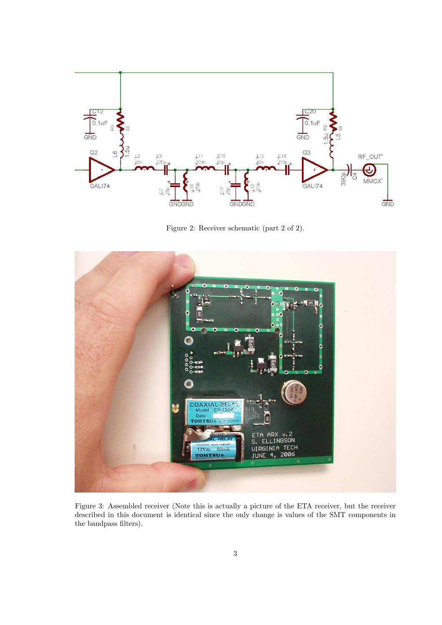

Figure 2: Receiver schematic (part 2 of 2).



Figure 3: Assembled receiver (Note this is actually a picture of the ETA receiver, but the receiver described in this document is identical since the only change is values of the SMT components in the bandpass filters).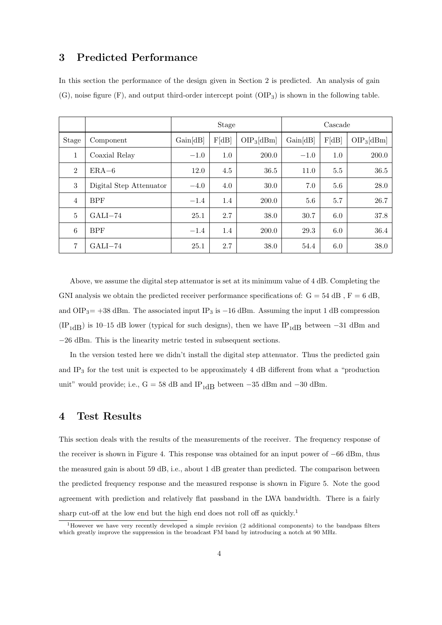### 3 Predicted Performance

In this section the performance of the design given in Section 2 is predicted. An analysis of gain  $(G)$ , noise figure  $(F)$ , and output third-order intercept point  $(OIP_3)$  is shown in the following table.

|                |                         |          | <b>Stage</b> |              | Cascade  |         |              |  |
|----------------|-------------------------|----------|--------------|--------------|----------|---------|--------------|--|
| Stage          | Component               | Gain[dB] | F[dB]        | $OIP_3[dBm]$ | Gain[dB] | F[dB]   | $OIP_3[dBm]$ |  |
| $\mathbf{1}$   | Coaxial Relay           | $-1.0$   | 1.0          | 200.0        | $-1.0$   | 1.0     | 200.0        |  |
| $\overline{2}$ | $ERA-6$                 | 12.0     | 4.5          | 36.5         | 11.0     | $5.5\,$ | 36.5         |  |
| 3              | Digital Step Attenuator | $-4.0$   | 4.0          | 30.0         | 7.0      | 5.6     | 28.0         |  |
| $\overline{4}$ | <b>BPF</b>              | $-1.4$   | 1.4          | 200.0        | $5.6\,$  | 5.7     | 26.7         |  |
| $\overline{5}$ | $GALI-74$               | 25.1     | 2.7          | 38.0         | 30.7     | 6.0     | 37.8         |  |
| 6              | <b>BPF</b>              | $-1.4$   | 1.4          | 200.0        | 29.3     | 6.0     | 36.4         |  |
| 7              | $GALI-74$               | 25.1     | 2.7          | 38.0         | 54.4     | 6.0     | 38.0         |  |

Above, we assume the digital step attenuator is set at its minimum value of 4 dB. Completing the GNI analysis we obtain the predicted receiver performance specifications of:  $G = 54$  dB,  $F = 6$  dB, and OIP<sub>3</sub>= +38 dBm. The associated input IP<sub>3</sub> is -16 dBm. Assuming the input 1 dB compression (IP<sub>1dB</sub>) is 10–15 dB lower (typical for such designs), then we have IP<sub>1dB</sub> between –31 dBm and −26 dBm. This is the linearity metric tested in subsequent sections.

In the version tested here we didn't install the digital step attenuator. Thus the predicted gain and IP<sup>3</sup> for the test unit is expected to be approximately 4 dB different from what a "production unit" would provide; i.e., G = 58 dB and  $IP_{1dB}$  between  $-35$  dBm and  $-30$  dBm.

#### 4 Test Results

This section deals with the results of the measurements of the receiver. The frequency response of the receiver is shown in Figure 4. This response was obtained for an input power of −66 dBm, thus the measured gain is about 59 dB, i.e., about 1 dB greater than predicted. The comparison between the predicted frequency response and the measured response is shown in Figure 5. Note the good agreement with prediction and relatively flat passband in the LWA bandwidth. There is a fairly sharp cut-off at the low end but the high end does not roll off as quickly.<sup>1</sup>

 $1$ However we have very recently developed a simple revision (2 additional components) to the bandpass filters which greatly improve the suppression in the broadcast FM band by introducing a notch at 90 MHz.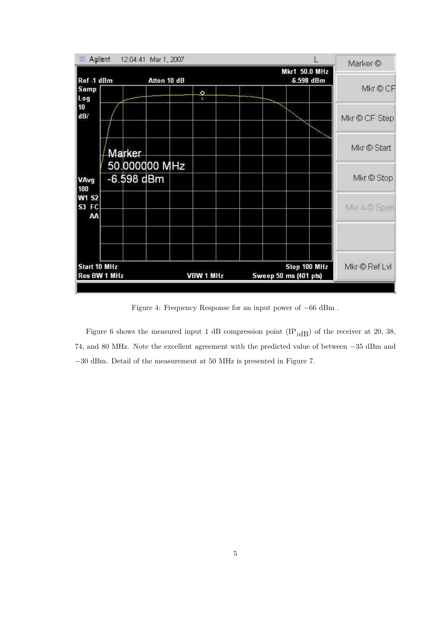| ※ Agilent                           |  |            | 12:04:41 Mar 1, 2007 |                |  |                                       |  |                      |               | Marker <sup>®</sup> |
|-------------------------------------|--|------------|----------------------|----------------|--|---------------------------------------|--|----------------------|---------------|---------------------|
| Ref -1 dBm                          |  |            | Atten 10 dB          |                |  |                                       |  | <b>Mkr1 50.0 MHz</b> | -6.598 dBm    |                     |
| <b>Samp</b><br>Log                  |  |            |                      | $\hat{Q}$<br>ï |  |                                       |  |                      |               | Mkr © CF            |
| 10<br>dB/                           |  |            |                      |                |  |                                       |  |                      |               | Mkr © CF Step       |
|                                     |  | Marker     | 50.000000 MHz        |                |  |                                       |  |                      |               | Mkr © Start         |
| <b>VAvg</b>                         |  | -6.598 dBm |                      |                |  |                                       |  |                      |               | Mkr © Stop          |
| 100<br><b>W1 S2</b><br>S3 FC<br>AΑ  |  |            |                      |                |  |                                       |  |                      |               | Mkr ∆ © Span        |
|                                     |  |            |                      |                |  |                                       |  |                      |               |                     |
| <b>Start 10 MHz</b><br>Res BW 1 MHz |  |            | <b>VBW 1 MHz</b>     |                |  | Stop 100 MHz<br>Sweep 50 ms (401 pts) |  |                      | Mkr © Ref Lvl |                     |
|                                     |  |            |                      |                |  |                                       |  |                      |               |                     |

Figure 4: Frequency Response for an input power of −66 dBm .

Figure 6 shows the measured input 1 dB compression point  $(\text{IP}_{1\text{dB}})$  of the receiver at 20, 38, 74, and 80 MHz. Note the excellent agreement with the predicted value of between −35 dBm and −30 dBm. Detail of the measurement at 50 MHz is presented in Figure 7.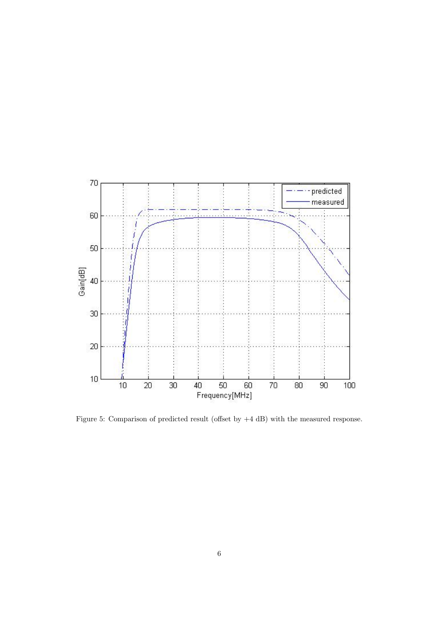

Figure 5: Comparison of predicted result (offset by +4 dB) with the measured response.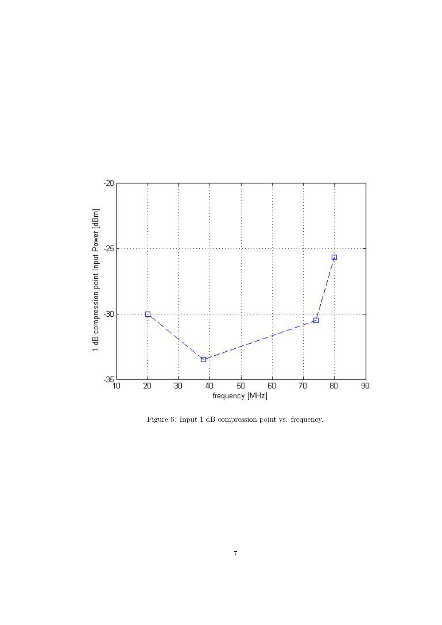

Figure 6: Input 1 dB compression point vs. frequency.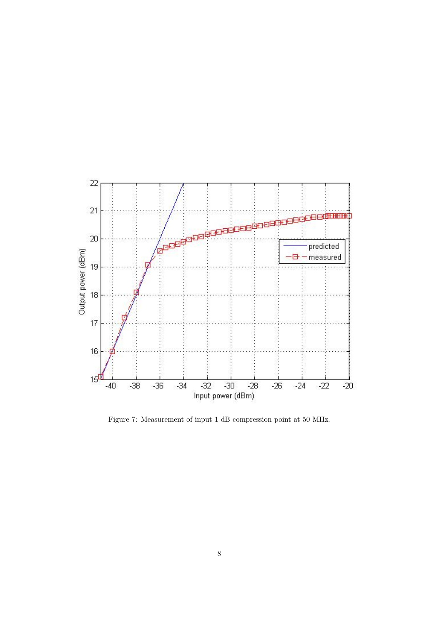

Figure 7: Measurement of input 1 dB compression point at 50 MHz.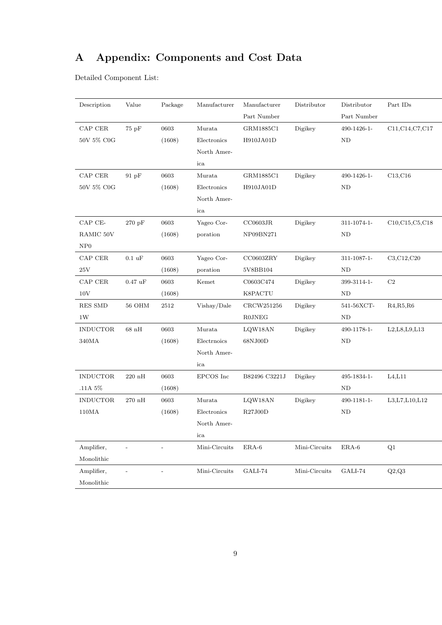# A Appendix: Components and Cost Data

Detailed Component List:

| Description              | Value              | Package | Manufacturer  | Manufacturer  | Distributor   | Distributor | Part $\mathrm{IDs}$       |
|--------------------------|--------------------|---------|---------------|---------------|---------------|-------------|---------------------------|
|                          |                    |         |               | Part Number   |               | Part Number |                           |
| ${\rm CAP}$ ${\rm CER}$  | 75pF               | 0603    | Murata        | GRM1885C1     | Digikey       | 490-1426-1- | C11, C14, C7, C17         |
| 50V 5% C0G               |                    | (1608)  | Electronics   | H910JA01D     |               | ND          |                           |
|                          |                    |         | North Amer-   |               |               |             |                           |
|                          |                    |         | ica           |               |               |             |                           |
| ${\rm CAP}$ ${\rm CER}$  | 91pF               | 0603    | Murata        | GRM1885C1     | Digikey       | 490-1426-1- | C13,C16                   |
| $50\mathrm{V}$ $5\%$ C0G |                    | (1608)  | Electronics   | H910JA01D     |               | ND          |                           |
|                          |                    |         | North Amer-   |               |               |             |                           |
|                          |                    |         | ica           |               |               |             |                           |
| CAP CE-                  | $270~\mathrm{pF}$  | 0603    | Yageo Cor-    | CC0603JR      | Digikey       | 311-1074-1- | C10, C15, C5, C18         |
| RAMIC 50V                |                    | (1608)  | poration      | NP09BN271     |               | ND          |                           |
| NP0                      |                    |         |               |               |               |             |                           |
| CAP CER                  | $0.1 \text{ uF}$   | 0603    | Yageo Cor-    | CC0603ZRY     | Digikey       | 311-1087-1- | C3, C12, C20              |
| $25\mathrm{V}$           |                    | (1608)  | poration      | 5V8BB104      |               | $\rm ND$    |                           |
| ${\rm CAP}$ ${\rm CER}$  | $0.47 \text{ uF}$  | 0603    | Kemet         | C0603C474     | Digikey       | 399-3114-1- | $\rm{C2}$                 |
| $10\mathrm{V}$           |                    | (1608)  |               | K8PACTU       |               | ND          |                           |
| <b>RES SMD</b>           | <b>56 OHM</b>      | 2512    | Vishay/Dale   | CRCW251256    | Digikey       | 541-56XCT-  | R4, R5, R6                |
| 1W                       |                    |         |               | <b>R0JNEG</b> |               | ND          |                           |
| <b>INDUCTOR</b>          | $68\ \mathrm{nH}$  | 0603    | Murata        | LQW18AN       | Digikey       | 490-1178-1- | L2, L8, L9, L13           |
| $340\mbox{MA}$           |                    | (1608)  | Electrnoics   | 68NJ00D       |               | $\rm ND$    |                           |
|                          |                    |         | North Amer-   |               |               |             |                           |
|                          |                    |         | ica           |               |               |             |                           |
| <b>INDUCTOR</b>          | $220\ \mathrm{nH}$ | 0603    | EPCOS Inc     | B82496 C3221J | Digikey       | 495-1834-1- | L4, L11                   |
| .11A 5%                  |                    | (1608)  |               |               |               | ND          |                           |
| <b>INDUCTOR</b>          | $270\ \mathrm{nH}$ | 0603    | Murata        | LQW18AN       | Digikey       | 490-1181-1- | L3, L7, L10, L12          |
| 110MA                    |                    | (1608)  | Electronics   | R27J00D       |               | $\rm ND$    |                           |
|                          |                    |         | North Amer-   |               |               |             |                           |
|                          |                    |         | ica           |               |               |             |                           |
| Amplifier,               |                    |         | Mini-Circuits | $ERA-6$       | Mini-Circuits | $ERA-6$     | Q1                        |
| Monolithic               |                    |         |               |               |               |             |                           |
| Amplifier,               | $\overline{a}$     |         | Mini-Circuits | $GALI-74$     | Mini-Circuits | GALI-74     | $\mathrm{Q}2\mathrm{,Q}3$ |
| Monolithic               |                    |         |               |               |               |             |                           |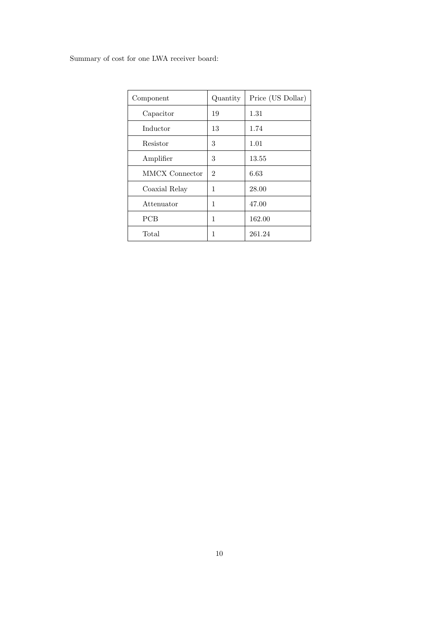## Summary of cost for one LWA receiver board:

| Component      | Quantity       | Price (US Dollar) |  |  |
|----------------|----------------|-------------------|--|--|
| Capacitor      | 19             | 1.31              |  |  |
| Inductor       | 13             | 1.74              |  |  |
| Resistor       | 3              | 1.01              |  |  |
| Amplifier      | 3              | 13.55             |  |  |
| MMCX Connector | $\overline{2}$ | 6.63              |  |  |
| Coaxial Relay  | 1              | 28.00             |  |  |
| Attenuator     | 1              | 47.00             |  |  |
| <b>PCB</b>     | 1              | 162.00            |  |  |
| Total          | 1              | 261.24            |  |  |